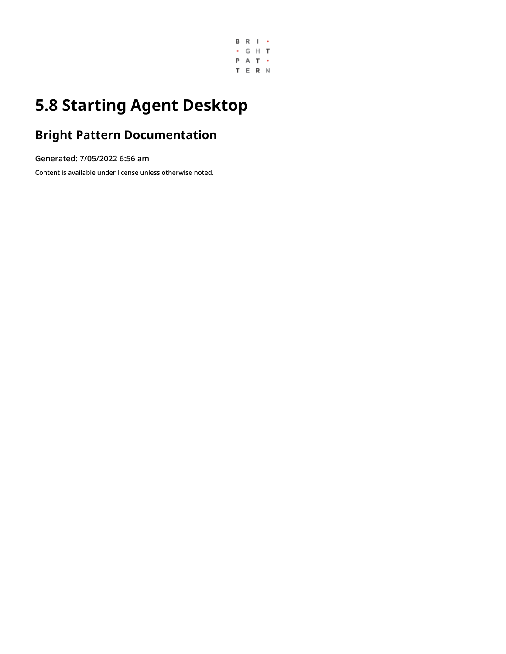

# **5.8 Starting Agent Desktop**

### **Bright Pattern Documentation**

Generated: 7/05/2022 6:56 am

Content is available under license unless otherwise noted.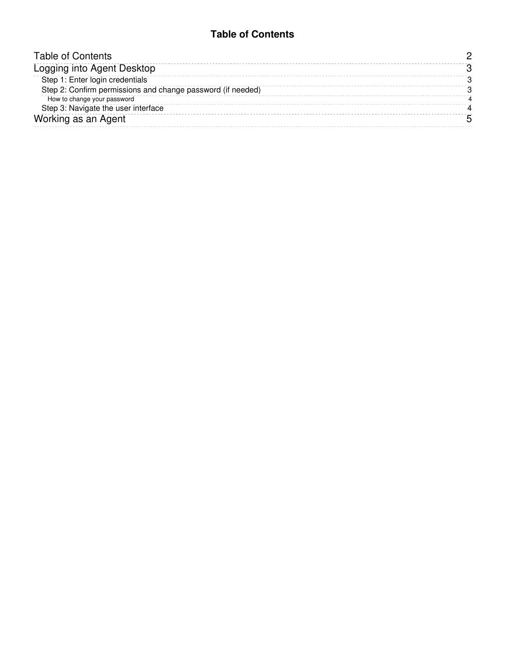#### **Table of Contents**

<span id="page-1-0"></span>

| <b>Table of Contents</b>                                    |  |
|-------------------------------------------------------------|--|
| Logging into Agent Desktop                                  |  |
| Step 1: Enter login credentials                             |  |
| Step 2: Confirm permissions and change password (if needed) |  |
| How to change your password                                 |  |
| Step 3: Navigate the user interface                         |  |
| Working as an Agent                                         |  |
|                                                             |  |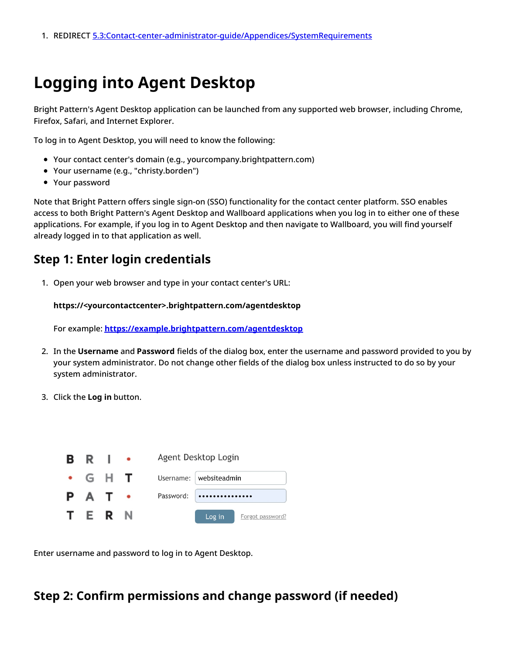## <span id="page-2-0"></span>**Logging into Agent Desktop**

Bright Pattern's Agent Desktop application can be launched from any supported web browser, including Chrome, Firefox, Safari, and Internet Explorer.

To log in to Agent Desktop, you will need to know the following:

- Your contact center's domain (e.g., yourcompany.brightpattern.com)
- Your username (e.g., "christy.borden")
- Your password

Note that Bright Pattern offers single sign-on (SSO) functionality for the contact center platform. SSO enables access to both Bright Pattern's Agent Desktop and Wallboard applications when you log in to either one of these applications. For example, if you log in to Agent Desktop and then navigate to Wallboard, you will find yourself already logged in to that application as well.

### <span id="page-2-1"></span>**Step 1: Enter login credentials**

1. Open your web browser and type in your contact center's URL:

**https://<yourcontactcenter>.brightpattern.com/agentdesktop**

For example: **<https://example.brightpattern.com/agentdesktop>**

- 2. In the **Username** and **Password** fields of the dialog box, enter the username and password provided to you by your system administrator. Do not change other fields of the dialog box unless instructed to do so by your system administrator.
- 3. Click the **Log in** button.

| B R           |  | Agent Desktop Login        |
|---------------|--|----------------------------|
| $\bullet$ G H |  | Username: websiteadmin     |
| P A T         |  | Password:<br>              |
| TERN          |  | Log in<br>Forgot password? |

Enter username and password to log in to Agent Desktop.

### <span id="page-2-2"></span>**Step 2: Confirm permissions and change password (if needed)**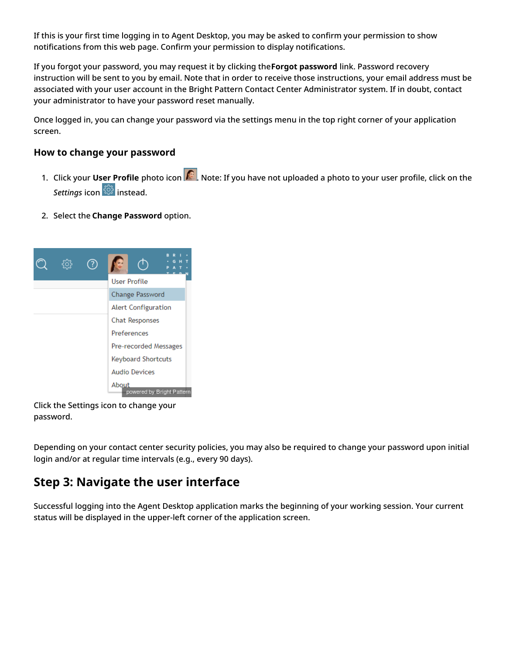If this is your first time logging in to Agent Desktop, you may be asked to confirm your permission to show notifications from this web page. Confirm your permission to display notifications.

If you forgot your password, you may request it by clicking the**Forgot password** link. Password recovery instruction will be sent to you by email. Note that in order to receive those instructions, your email address must be associated with your user account in the Bright Pattern Contact Center Administrator system. If in doubt, contact your administrator to have your password reset manually.

Once logged in, you can change your password via the settings menu in the top right corner of your application screen.

#### <span id="page-3-0"></span>**How to change your password**

- 1. Click your User Profile photo icon **. Note:** If you have not uploaded a photo to your user profile, click on the **Settings** icon  $\frac{\text{cos}}{\text{cos}}$  instead.
- 2. Select the **Change Password** option.



Click the Settings icon to change your password.

Depending on your contact center security policies, you may also be required to change your password upon initial login and/or at regular time intervals (e.g., every 90 days).

### <span id="page-3-1"></span>**Step 3: Navigate the user interface**

Successful logging into the Agent Desktop application marks the beginning of your working session. Your current status will be displayed in the upper-left corner of the application screen.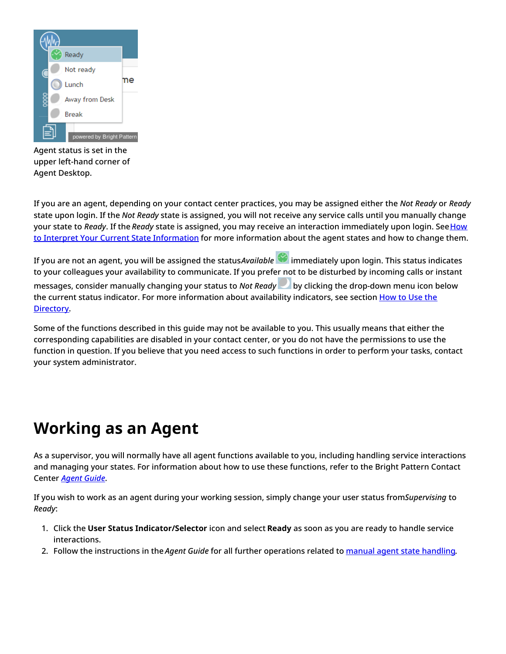

Agent status is set in the upper left-hand corner of Agent Desktop.

If you are an agent, depending on your contact center practices, you may be assigned either the *Not Ready* or *Ready* state upon login. If the *Not Ready* state is assigned, you will not receive any service calls until you manually change your state to *Ready*. If the *Ready* state is assigned, you may receive an interaction [immediately](https://help.brightpattern.com/5.8:Supervisor-guide/StartingAgentDesktop/?action=html-localimages-export#topic_agent-guide.2Fhowtointerpretyourcurrentstateinformation) upon login. See How to Interpret Your Current State Information for more information about the agent states and how to change them.

If you are not an agent, you will be assigned the status*Available* immediately upon login. This status indicates to your colleagues your availability to communicate. If you prefer not to be disturbed by incoming calls or instant messages, consider manually changing your status to *Not Ready* by clicking the drop-down menu icon below the current status indicator. For more [information](https://help.brightpattern.com/5.8:Supervisor-guide/StartingAgentDesktop/?action=html-localimages-export#topic_agent-guide.2Fhowtousethedirectory) about availability indicators, see section How to Use the Directory.

Some of the functions described in this guide may not be available to you. This usually means that either the corresponding capabilities are disabled in your contact center, or you do not have the permissions to use the function in question. If you believe that you need access to such functions in order to perform your tasks, contact your system administrator.

## <span id="page-4-0"></span>**Working as an Agent**

As a supervisor, you will normally have all agent functions available to you, including handling service interactions and managing your states. For information about how to use these functions, refer to the Bright Pattern Contact Center *[Agent](https://help.brightpattern.com/5.8:Supervisor-guide/StartingAgentDesktop/?action=html-localimages-export#topic_agent-guide.2Fpurpose) Guide*.

If you wish to work as an agent during your working session, simply change your user status from*Supervising* to *Ready*:

- 1. Click the **User Status Indicator/Selector** icon and select **Ready** as soon as you are ready to handle service interactions.
- 2. Follow the instructions in the *Agent Guide* for all further operations related to manual agent state [handling](https://help.brightpattern.com/5.8:Supervisor-guide/StartingAgentDesktop/?action=html-localimages-export#topic_agent-guide.2Fhowtointerpretyourcurrentstateinformation).